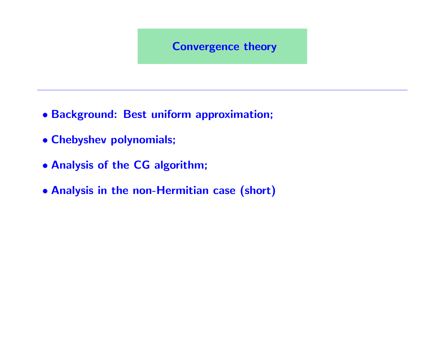#### Convergence theory

- Background: Best uniform approximation;
- Chebyshev polynomials;
- Analysis of the CG algorithm;
- Analysis in the non-Hermitian case (short)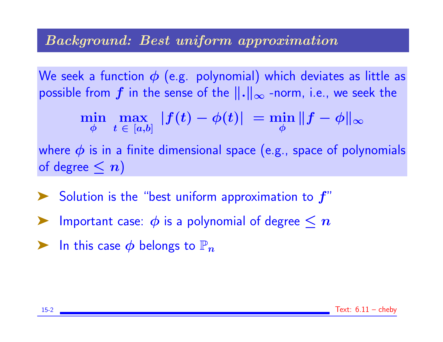#### Background: Best uniform approximation

We seek a function  $\phi$  (e.g. polynomial) which deviates as little as possible from  $f$  in the sense of the  $\|.\|_{\infty}$  -norm, i.e., we seek the

$$
\min_{\phi}\,\max_{\,t\,\,\in\,\,[a,b]}\,\,\vert f(t)-\phi(t)\vert\,\,=\min_{\phi}\|f-\phi\|_{\infty}
$$

where  $\phi$  is in a finite dimensional space (e.g., space of polynomials of degree  $\leq n$ )

 $\blacktriangleright$  Solution is the "best uniform approximation to  $f''$ 

- Important case:  $\phi$  is a polynomial of degree  $\leq n$
- $\blacktriangleright$  In this case  $\phi$  belongs to  $\mathbb{P}_n$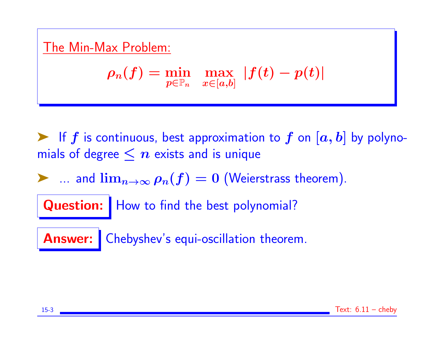# The Min-Max Problem:

$$
\rho_n(f)=\min_{p\in{\mathbb P}_n}\ \, \max_{x\in[a,b]} \, |f(t)-p(t)|
$$

 $\blacktriangleright$  If f is continuous, best approximation to f on  $[a, b]$  by polynomials of degree  $\leq n$  exists and is unique

 $\triangleright$  ... and  $\lim_{n\to\infty}\rho_n(f)=0$  (Weierstrass theorem).

Question: | How to find the best polynomial?

Answer: Chebyshev's equi-oscillation theorem.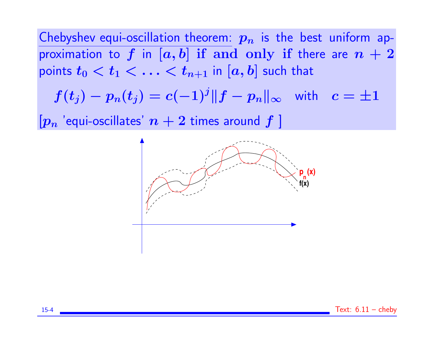Chebyshev equi-oscillation theorem:  $p_n$  is the best uniform approximation to f in  $[a, b]$  if and only if there are  $n + 2$ points  $t_0 < t_1 < \ldots < t_{n+1}$  in  $[a, b]$  such that

$$
f(t_j) - p_n(t_j) = c(-1)^j \|f - p_n\|_\infty \quad \text{with} \quad c = \pm 1
$$

 $[p_n]$  'equi-oscillates'  $n+2$  times around  $f$  ]

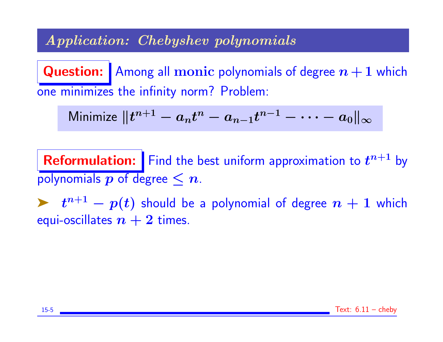## Application: Chebyshev polynomials

**Question:** Among all monic polynomials of degree  $n + 1$  which one minimizes the infinity norm? Problem:

Minimize 
$$
||t^{n+1} - a_n t^n - a_{n-1} t^{n-1} - \cdots - a_0||_{\infty}
$$

**Reformulation:** Find the best uniform approximation to  $t^{n+1}$  by polynomials  $p$  of degree  $\leq n$ .

 $\blacktriangleright$   $t^{n+1} - p(t)$  should be a polynomial of degree  $n + 1$  which equi-oscillates  $n+2$  times.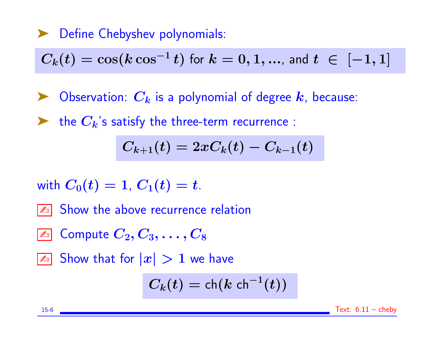## ▶ Define Chebyshev polynomials:

$$
C_k(t) = \cos(k \cos^{-1} t) \text{ for } k = 0, 1, \dots \text{, and } t \in [-1, 1]
$$

- $\blacktriangleright$  Observation:  $C_k$  is a polynomial of degree  $k$ , because:
- the  $C_k$ 's satisfy the three-term recurrence :

$$
C_{k+1}(t)=2xC_k(t)-C_{k-1}(t)\\
$$

with 
$$
C_0(t)=1
$$
,  $C_1(t)=t$ .

- **Ext** Show the above recurrence relation
- $\boxed{\mathbb{Z}_\mathbb{D}}$  Compute  $C_2, C_3, \ldots, C_8$
- $\boxed{\mathbb{Z}^3}$  Show that for  $|x| > 1$  we have

$$
C_k(t) = \mathsf{ch}(k\;\mathsf{ch}^{-1}(t))
$$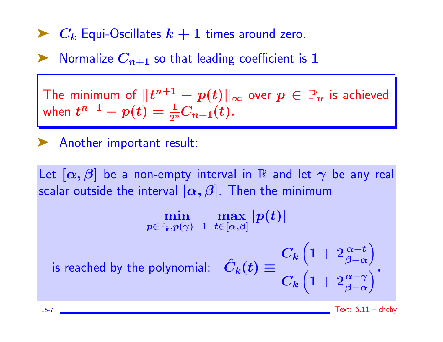# $\blacktriangleright$   $C_k$  Equi-Oscillates  $k+1$  times around zero.

Normalize  $C_{n+1}$  so that leading coefficient is 1

The minimum of  $\|t^{n+1} - p(t)\|_\infty$  over  $p \, \in \, \mathbb{P}_n$  is achieved when  $t^{n+1} - p(t) = \frac{1}{2^n} C_{n+1}(t)$ .

## ➤ Another important result:

Let  $[\alpha, \beta]$  be a non-empty interval in R and let  $\gamma$  be any real scalar outside the interval  $[\alpha, \beta]$ . Then the minimum

> min  $p{\in}\mathbb{P}_k, p(\gamma){=}1$ max  $t{\in}[\alpha{,}\beta]$  $|p(t)|$

is reached by the polynomial:  $\boldsymbol{C_k}$  $\Big( 1 + 2 \frac{\alpha-t}{\beta-\alpha}$  $\setminus$  $\boldsymbol{C_k}$  $\left(1+2\frac{\alpha-\gamma}{\beta-\alpha}\right)$  $\frac{1}{\sqrt{2}}$ .

15-7 Text: 6.11 – cheby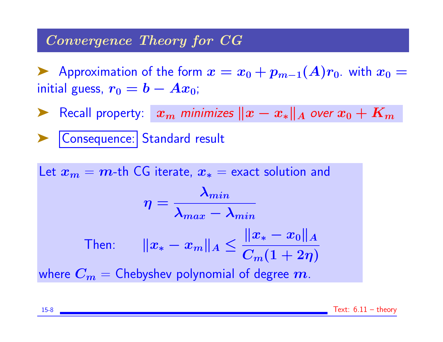#### Convergence Theory for CG

Approximation of the form  $x = x_0 + p_{m-1}(A)r_0$ . with  $x_0 =$ initial guess,  $r_0 = b - Ax_0$ ;

► Recall property:  $x_m$  minimizes  $||x - x_*||_A$  over  $x_0 + K_m$ 

| Consequence: | Standard result

Let  $x_m = m$ -th CG iterate,  $x_* =$  exact solution and  $\eta =$  $\boldsymbol{\lambda_{min}}$  $\boldsymbol{\lambda}_{max}-\boldsymbol{\lambda}_{min}$ Then:  $\|x_* - x_m\|_A \le$  $\|x_* - x_0\|_A$  $C_m(1+2\eta)$ where  $C_m =$  Chebyshev polynomial of degree m.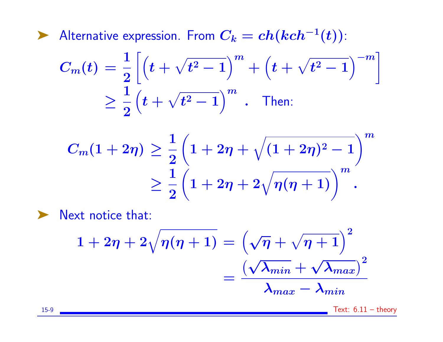► Alternative expression. From  $C_k = ch(kch^{-1}(t))$ :

$$
C_m(t) = \frac{1}{2} \left[ \left( t + \sqrt{t^2 - 1} \right)^m + \left( t + \sqrt{t^2 - 1} \right)^{-m} \right]
$$
  
 
$$
\geq \frac{1}{2} \left( t + \sqrt{t^2 - 1} \right)^m . \text{ Then:}
$$

$$
C_m(1+2\eta) \geq \frac{1}{2} \left(1 + 2\eta + \sqrt{(1+2\eta)^2 - 1}\right)^m
$$
  

$$
\geq \frac{1}{2} \left(1 + 2\eta + 2\sqrt{\eta(\eta+1)}\right)^m.
$$

▶ Next notice that:

$$
1 + 2\eta + 2\sqrt{\eta(\eta + 1)} = \left(\sqrt{\eta} + \sqrt{\eta + 1}\right)^2
$$

$$
= \frac{\left(\sqrt{\lambda_{min}} + \sqrt{\lambda_{max}}\right)^2}{\lambda_{max} - \lambda_{min}}
$$

15-9 Text: 6.11 – theory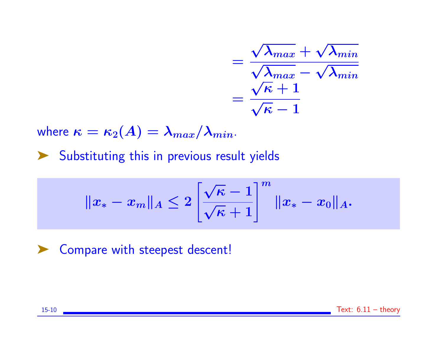$$
= \frac{\sqrt{\lambda_{max}} + \sqrt{\lambda_{min}}}{\sqrt{\lambda_{max}} - \sqrt{\lambda_{min}}}
$$

$$
= \frac{\sqrt{\kappa} + 1}{\sqrt{\kappa} - 1}
$$

where  $\kappa = \kappa_2(A) = \lambda_{max}/\lambda_{min}$ .

➤ Substituting this in previous result yields

$$
\|x_*-x_m\|_A\leq 2\left[\frac{\sqrt{\kappa}-1}{\sqrt{\kappa}+1}\right]^m\|x_*-x_0\|_A.
$$

▶ Compare with steepest descent!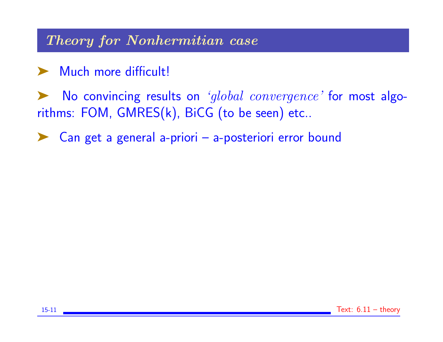Theory for Nonhermitian case

➤ Much more difficult!

▶ No convincing results on 'global convergence' for most algorithms: FOM, GMRES(k), BiCG (to be seen) etc..

Can get a general a-priori – a-posteriori error bound